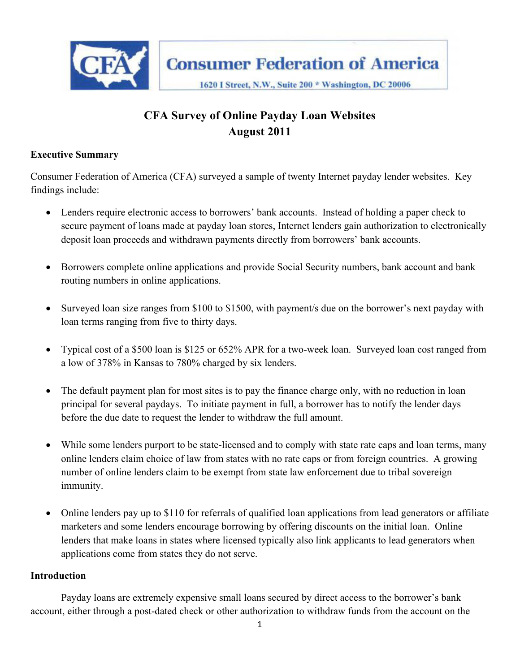

# **CFA Survey of Online Payday Loan Websites August 2011**

#### **Executive Summary**

Consumer Federation of America (CFA) surveyed a sample of twenty Internet payday lender websites. Key findings include:

- Lenders require electronic access to borrowers' bank accounts. Instead of holding a paper check to secure payment of loans made at payday loan stores, Internet lenders gain authorization to electronically deposit loan proceeds and withdrawn payments directly from borrowers' bank accounts.
- Borrowers complete online applications and provide Social Security numbers, bank account and bank routing numbers in online applications.
- Surveyed loan size ranges from \$100 to \$1500, with payment/s due on the borrower's next payday with loan terms ranging from five to thirty days.
- Typical cost of a \$500 loan is \$125 or 652% APR for a two-week loan. Surveyed loan cost ranged from a low of 378% in Kansas to 780% charged by six lenders.
- The default payment plan for most sites is to pay the finance charge only, with no reduction in loan principal for several paydays. To initiate payment in full, a borrower has to notify the lender days before the due date to request the lender to withdraw the full amount.
- While some lenders purport to be state-licensed and to comply with state rate caps and loan terms, many online lenders claim choice of law from states with no rate caps or from foreign countries. A growing number of online lenders claim to be exempt from state law enforcement due to tribal sovereign immunity.
- Online lenders pay up to \$110 for referrals of qualified loan applications from lead generators or affiliate marketers and some lenders encourage borrowing by offering discounts on the initial loan. Online lenders that make loans in states where licensed typically also link applicants to lead generators when applications come from states they do not serve.

#### **Introduction**

Payday loans are extremely expensive small loans secured by direct access to the borrower's bank account, either through a post-dated check or other authorization to withdraw funds from the account on the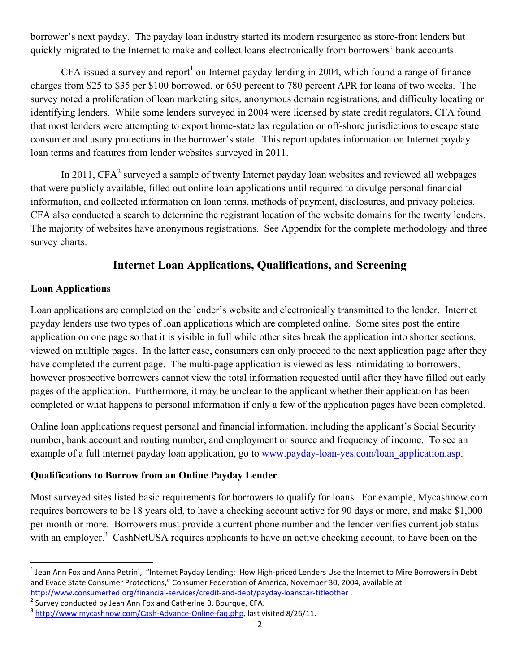borrower's next payday. The payday loan industry started its modern resurgence as store-front lenders but quickly migrated to the Internet to make and collect loans electronically from borrowers' bank accounts.

CFA issued a survey and report<sup>1</sup> on Internet payday lending in 2004, which found a range of finance charges from \$25 to \$35 per \$100 borrowed, or 650 percent to 780 percent APR for loans of two weeks. The survey noted a proliferation of loan marketing sites, anonymous domain registrations, and difficulty locating or identifying lenders. While some lenders surveyed in 2004 were licensed by state credit regulators, CFA found that most lenders were attempting to export home-state lax regulation or off-shore jurisdictions to escape state consumer and usury protections in the borrower's state. This report updates information on Internet payday loan terms and features from lender websites surveyed in 2011.

In 2011,  $CFA<sup>2</sup>$  surveyed a sample of twenty Internet payday loan websites and reviewed all webpages that were publicly available, filled out online loan applications until required to divulge personal financial information, and collected information on loan terms, methods of payment, disclosures, and privacy policies. CFA also conducted a search to determine the registrant location of the website domains for the twenty lenders. The majority of websites have anonymous registrations. See Appendix for the complete methodology and three survey charts.

## **Internet Loan Applications, Qualifications, and Screening**

#### **Loan Applications**

 $\overline{\phantom{a}}$ 

Loan applications are completed on the lender's website and electronically transmitted to the lender. Internet payday lenders use two types of loan applications which are completed online. Some sites post the entire application on one page so that it is visible in full while other sites break the application into shorter sections, viewed on multiple pages. In the latter case, consumers can only proceed to the next application page after they have completed the current page. The multi-page application is viewed as less intimidating to borrowers, however prospective borrowers cannot view the total information requested until after they have filled out early pages of the application. Furthermore, it may be unclear to the applicant whether their application has been completed or what happens to personal information if only a few of the application pages have been completed.

Online loan applications request personal and financial information, including the applicant's Social Security number, bank account and routing number, and employment or source and frequency of income. To see an example of a full internet payday loan application, go to www.payday-loan-yes.com/loan\_application.asp.

### **Qualifications to Borrow from an Online Payday Lender**

Most surveyed sites listed basic requirements for borrowers to qualify for loans. For example, Mycashnow.com requires borrowers to be 18 years old, to have a checking account active for 90 days or more, and make \$1,000 per month or more. Borrowers must provide a current phone number and the lender verifies current job status with an employer.<sup>3</sup> CashNetUSA requires applicants to have an active checking account, to have been on the

<sup>&</sup>lt;sup>1</sup> Jean Ann Fox and Anna Petrini, "Internet Payday Lending: How High-priced Lenders Use the Internet to Mire Borrowers in Debt and Evade State Consumer Protections," Consumer Federation of America, November 30, 2004, available at http://www.consumerfed.org/financial-services/credit-and-debt/payday-loanscar-titleother .

 $\sqrt[2]{\frac{1}{2}$  Survey conducted by Jean Ann Fox and Catherine B. Bourque, CFA.

 $3$  http://www.mycashnow.com/Cash-Advance-Online-faq.php, last visited 8/26/11.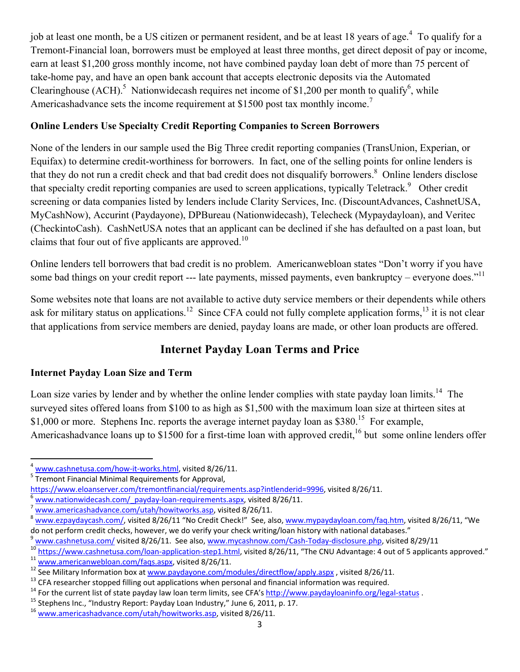job at least one month, be a US citizen or permanent resident, and be at least 18 years of age.<sup>4</sup> To qualify for a Tremont-Financial loan, borrowers must be employed at least three months, get direct deposit of pay or income, earn at least \$1,200 gross monthly income, not have combined payday loan debt of more than 75 percent of take-home pay, and have an open bank account that accepts electronic deposits via the Automated Clearinghouse  $(ACH)$ <sup>5</sup> Nationwidecash requires net income of \$1,200 per month to qualify<sup>6</sup>, while Americashadvance sets the income requirement at \$1500 post tax monthly income.<sup>7</sup>

### **Online Lenders Use Specialty Credit Reporting Companies to Screen Borrowers**

None of the lenders in our sample used the Big Three credit reporting companies (TransUnion, Experian, or Equifax) to determine credit-worthiness for borrowers. In fact, one of the selling points for online lenders is that they do not run a credit check and that bad credit does not disqualify borrowers.<sup>8</sup> Online lenders disclose that specialty credit reporting companies are used to screen applications, typically Teletrack.<sup>9</sup> Other credit screening or data companies listed by lenders include Clarity Services, Inc. (DiscountAdvances, CashnetUSA, MyCashNow), Accurint (Paydayone), DPBureau (Nationwidecash), Telecheck (Mypaydayloan), and Veritec (CheckintoCash). CashNetUSA notes that an applicant can be declined if she has defaulted on a past loan, but claims that four out of five applicants are approved.<sup>10</sup>

Online lenders tell borrowers that bad credit is no problem. Americanwebloan states "Don't worry if you have some bad things on your credit report --- late payments, missed payments, even bankruptcy – everyone does."<sup>11</sup>

Some websites note that loans are not available to active duty service members or their dependents while others ask for military status on applications.<sup>12</sup> Since CFA could not fully complete application forms,<sup>13</sup> it is not clear that applications from service members are denied, payday loans are made, or other loan products are offered.

## **Internet Payday Loan Terms and Price**

### **Internet Payday Loan Size and Term**

Loan size varies by lender and by whether the online lender complies with state payday loan limits.<sup>14</sup> The surveyed sites offered loans from \$100 to as high as \$1,500 with the maximum loan size at thirteen sites at \$1,000 or more. Stephens Inc. reports the average internet payday loan as \$380.<sup>15</sup> For example, Americashadvance loans up to \$1500 for a first-time loan with approved credit,  $16$  but some online lenders offer

 $\overline{\phantom{a}}$  $\frac{4 \text{ www.cashnetusa.com/how-it-works.html}}{5 \text{ Tromant Financial Mining}$ , visited 8/26/11.

<sup>&</sup>lt;sup>5</sup>Tremont Financial Minimal Requirements for Approval,<br>https://www.eloanserver.com/tremontfinancial/requirements.asp?intlenderid=9996, visited 8/26/11.

www.nationwidecash.com/ payday-loan-requirements.aspx, visited 8/26/11.<br>www.americashadvance.com/utah/howitworks.asp, visited 8/26/11.<br>www.ezpaydaycash.com/, visited 8/26/11 "No Credit Check!" See, also, www.mypaydayloan.c do not perform credit checks, however, we do verify your check writing/loan history with national databases."

<sup>&</sup>lt;sup>9</sup> <u>www.cashnetusa.com/</u> visited 8/26/11. See also, <u>www.mycashnow.com/Cash-Today-disclosure.php</u>, visited 8/29/11<br>
<sup>10</sup> https://www.cashnetusa.com/loan-application-step1.html, visited 8/26/11, "The CNU Advantage: 4 out

<sup>16</sup> www.americashadvance.com/utah/howitworks.asp, visited 8/26/11.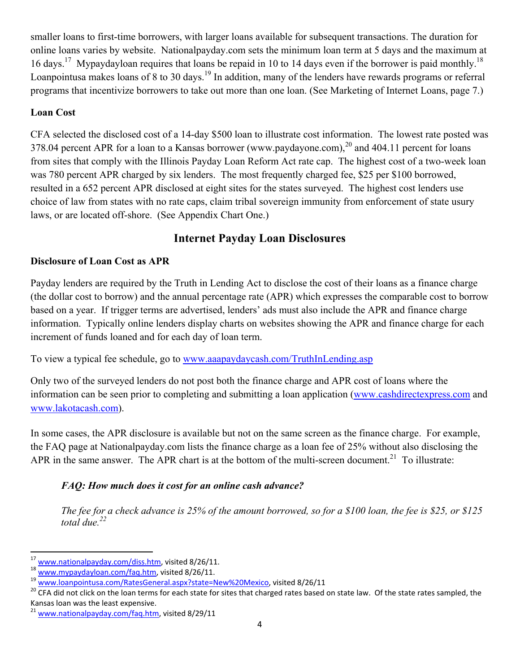smaller loans to first-time borrowers, with larger loans available for subsequent transactions. The duration for online loans varies by website. Nationalpayday.com sets the minimum loan term at 5 days and the maximum at 16 days.<sup>17</sup> Mypaydayloan requires that loans be repaid in 10 to 14 days even if the borrower is paid monthly.<sup>18</sup> Loanpointusa makes loans of 8 to 30 days.<sup>19</sup> In addition, many of the lenders have rewards programs or referral programs that incentivize borrowers to take out more than one loan. (See Marketing of Internet Loans, page 7.)

#### **Loan Cost**

CFA selected the disclosed cost of a 14-day \$500 loan to illustrate cost information. The lowest rate posted was 378.04 percent APR for a loan to a Kansas borrower (www.paydayone.com),  $^{20}$  and 404.11 percent for loans from sites that comply with the Illinois Payday Loan Reform Act rate cap. The highest cost of a two-week loan was 780 percent APR charged by six lenders. The most frequently charged fee, \$25 per \$100 borrowed, resulted in a 652 percent APR disclosed at eight sites for the states surveyed. The highest cost lenders use choice of law from states with no rate caps, claim tribal sovereign immunity from enforcement of state usury laws, or are located off-shore. (See Appendix Chart One.)

## **Internet Payday Loan Disclosures**

### **Disclosure of Loan Cost as APR**

Payday lenders are required by the Truth in Lending Act to disclose the cost of their loans as a finance charge (the dollar cost to borrow) and the annual percentage rate (APR) which expresses the comparable cost to borrow based on a year. If trigger terms are advertised, lenders' ads must also include the APR and finance charge information. Typically online lenders display charts on websites showing the APR and finance charge for each increment of funds loaned and for each day of loan term.

To view a typical fee schedule, go to www.aaapaydaycash.com/TruthInLending.asp

Only two of the surveyed lenders do not post both the finance charge and APR cost of loans where the information can be seen prior to completing and submitting a loan application (www.cashdirectexpress.com and www.lakotacash.com).

In some cases, the APR disclosure is available but not on the same screen as the finance charge. For example, the FAQ page at Nationalpayday.com lists the finance charge as a loan fee of 25% without also disclosing the APR in the same answer. The APR chart is at the bottom of the multi-screen document.<sup>21</sup> To illustrate:

### *FAQ: How much does it cost for an online cash advance?*

*The fee for a check advance is 25% of the amount borrowed, so for a \$100 loan, the fee is \$25, or \$125 total due.22* 

 $\overline{\phantom{a}}$ 

<sup>&</sup>lt;sup>17</sup><br><sup>18</sup> www.nationalpayday.com/diss.htm, visited 8/26/11.<br><sup>18</sup> www.mypaydayloan.com/faq.htm, visited 8/26/11.<br><sup>19</sup> www.loanpointusa.com/RatesGeneral.aspx?state=New%20Mexico, visited 8/26/11<br><sup>20</sup> CFA did not click on the Kansas loan was the least expensive.

<sup>&</sup>lt;sup>21</sup> www.nationalpayday.com/faq.htm, visited 8/29/11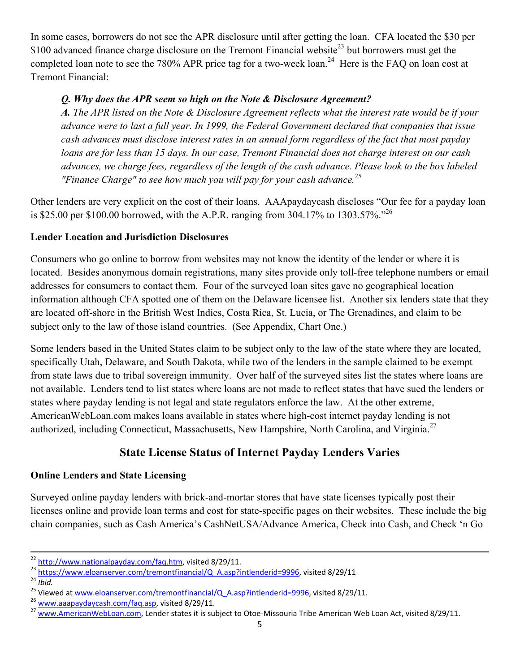In some cases, borrowers do not see the APR disclosure until after getting the loan. CFA located the \$30 per \$100 advanced finance charge disclosure on the Tremont Financial website<sup>23</sup> but borrowers must get the completed loan note to see the 780% APR price tag for a two-week loan.<sup>24</sup> Here is the FAQ on loan cost at Tremont Financial:

### *Q. Why does the APR seem so high on the Note & Disclosure Agreement?*

*A. The APR listed on the Note & Disclosure Agreement reflects what the interest rate would be if your advance were to last a full year. In 1999, the Federal Government declared that companies that issue cash advances must disclose interest rates in an annual form regardless of the fact that most payday loans are for less than 15 days. In our case, Tremont Financial does not charge interest on our cash advances, we charge fees, regardless of the length of the cash advance. Please look to the box labeled "Finance Charge" to see how much you will pay for your cash advance.25*

Other lenders are very explicit on the cost of their loans. AAApaydaycash discloses "Our fee for a payday loan is \$25.00 per \$100.00 borrowed, with the A.P.R. ranging from 304.17% to 1303.57%."26

### **Lender Location and Jurisdiction Disclosures**

Consumers who go online to borrow from websites may not know the identity of the lender or where it is located. Besides anonymous domain registrations, many sites provide only toll-free telephone numbers or email addresses for consumers to contact them. Four of the surveyed loan sites gave no geographical location information although CFA spotted one of them on the Delaware licensee list. Another six lenders state that they are located off-shore in the British West Indies, Costa Rica, St. Lucia, or The Grenadines, and claim to be subject only to the law of those island countries. (See Appendix, Chart One.)

Some lenders based in the United States claim to be subject only to the law of the state where they are located, specifically Utah, Delaware, and South Dakota, while two of the lenders in the sample claimed to be exempt from state laws due to tribal sovereign immunity. Over half of the surveyed sites list the states where loans are not available. Lenders tend to list states where loans are not made to reflect states that have sued the lenders or states where payday lending is not legal and state regulators enforce the law. At the other extreme, AmericanWebLoan.com makes loans available in states where high-cost internet payday lending is not authorized, including Connecticut, Massachusetts, New Hampshire, North Carolina, and Virginia.<sup>27</sup>

## **State License Status of Internet Payday Lenders Varies**

### **Online Lenders and State Licensing**

Surveyed online payday lenders with brick-and-mortar stores that have state licenses typically post their licenses online and provide loan terms and cost for state-specific pages on their websites. These include the big chain companies, such as Cash America's CashNetUSA/Advance America, Check into Cash, and Check 'n Go

 $\frac{\frac{22 \text{ http://www.nationalpaydaycom/faq.htm}}{23 \text{ https://www.eloanserver.com/tremontfinancial/Q}}$   $\frac{\frac{23 \text{ https://www.eloanserver.com/tremontfinancial/Q}}{24 \text{ libid}}$   $\frac{24 \text{ bibid}}{25}$   $\frac{25 \text{ Viewed at [\frac{25 \text{ Viewed at \[\frac{25 \text{ Viewed at \\[\frac{25 \text{\\]\\(https://www.eloanserver.com/tremontfinancial/Q}}{25}</math> <math display=\\)\]\(https://www.eloanserver.com/tremontfinancial/Q}}{25}</math> <math display=\)](https://www.eloanserver.com/tremontfinancial/Q}}{25}</math> <math display=)$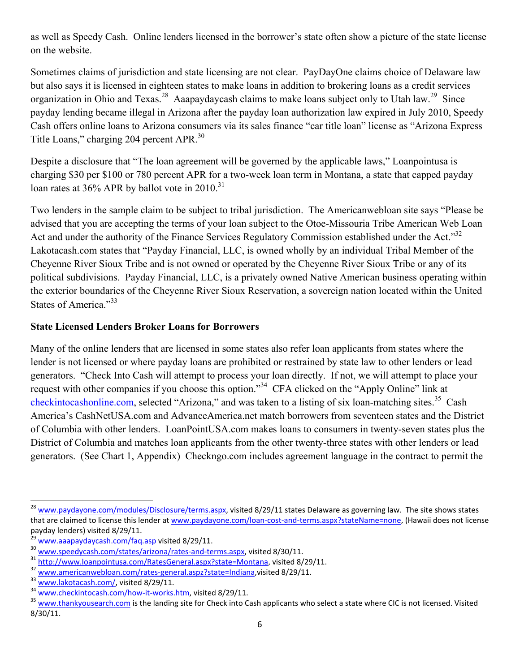as well as Speedy Cash. Online lenders licensed in the borrower's state often show a picture of the state license on the website.

Sometimes claims of jurisdiction and state licensing are not clear. PayDayOne claims choice of Delaware law but also says it is licensed in eighteen states to make loans in addition to brokering loans as a credit services organization in Ohio and Texas.<sup>28</sup> Aaapaydaycash claims to make loans subject only to Utah law.<sup>29</sup> Since payday lending became illegal in Arizona after the payday loan authorization law expired in July 2010, Speedy Cash offers online loans to Arizona consumers via its sales finance "car title loan" license as "Arizona Express Title Loans," charging 204 percent APR.<sup>30</sup>

Despite a disclosure that "The loan agreement will be governed by the applicable laws," Loanpointusa is charging \$30 per \$100 or 780 percent APR for a two-week loan term in Montana, a state that capped payday loan rates at  $36\%$  APR by ballot vote in  $2010^{31}$ 

Two lenders in the sample claim to be subject to tribal jurisdiction. The Americanwebloan site says "Please be advised that you are accepting the terms of your loan subject to the Otoe-Missouria Tribe American Web Loan Act and under the authority of the Finance Services Regulatory Commission established under the Act.<sup>332</sup> Lakotacash.com states that "Payday Financial, LLC, is owned wholly by an individual Tribal Member of the Cheyenne River Sioux Tribe and is not owned or operated by the Cheyenne River Sioux Tribe or any of its political subdivisions. Payday Financial, LLC, is a privately owned Native American business operating within the exterior boundaries of the Cheyenne River Sioux Reservation, a sovereign nation located within the United States of America."33

#### **State Licensed Lenders Broker Loans for Borrowers**

Many of the online lenders that are licensed in some states also refer loan applicants from states where the lender is not licensed or where payday loans are prohibited or restrained by state law to other lenders or lead generators. "Check Into Cash will attempt to process your loan directly. If not, we will attempt to place your request with other companies if you choose this option."<sup>34</sup> CFA clicked on the "Apply Online" link at checkintocashonline.com, selected "Arizona," and was taken to a listing of six loan-matching sites.<sup>35</sup> Cash America's CashNetUSA.com and AdvanceAmerica.net match borrowers from seventeen states and the District of Columbia with other lenders. LoanPointUSA.com makes loans to consumers in twenty-seven states plus the District of Columbia and matches loan applicants from the other twenty-three states with other lenders or lead generators. (See Chart 1, Appendix) Checkngo.com includes agreement language in the contract to permit the

<sup>&</sup>lt;sup>28</sup> www.paydayone.com/modules/Disclosure/terms.aspx, visited 8/29/11 states Delaware as governing law. The site shows states that are claimed to license this lender at www.paydayone.com/loan-cost-and-terms.aspx?stateName=none, (Hawaii does not license payday lenders) visited 8/29/11.

<sup>&</sup>lt;sup>29</sup><br>
<u>www.aaapaydaycash.com/faq.asp</u> visited 8/29/11.<br>
<sup>31</sup><br>
<u>http://www.loanpointusa.com/RatesGeneral.aspx?state=Montana</u>, visited 8/29/11.<br>
<sup>32</sup><br>
<u>www.americanwebloan.com/rates-general.aspx?state=Montana</u>, visited 8/29/ 8/30/11.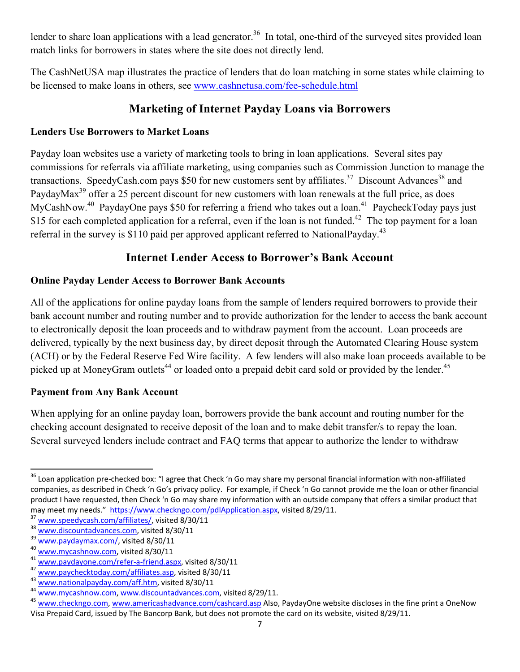lender to share loan applications with a lead generator.<sup>36</sup> In total, one-third of the surveyed sites provided loan match links for borrowers in states where the site does not directly lend.

The CashNetUSA map illustrates the practice of lenders that do loan matching in some states while claiming to be licensed to make loans in others, see www.cashnetusa.com/fee-schedule.html

## **Marketing of Internet Payday Loans via Borrowers**

### **Lenders Use Borrowers to Market Loans**

Payday loan websites use a variety of marketing tools to bring in loan applications. Several sites pay commissions for referrals via affiliate marketing, using companies such as Commission Junction to manage the transactions. SpeedyCash.com pays \$50 for new customers sent by affiliates.<sup>37</sup> Discount Advances<sup>38</sup> and PaydayMax<sup>39</sup> offer a 25 percent discount for new customers with loan renewals at the full price, as does MyCashNow.<sup>40</sup> PaydayOne pays \$50 for referring a friend who takes out a loan.<sup>41</sup> PaycheckToday pays just \$15 for each completed application for a referral, even if the loan is not funded.<sup>42</sup> The top payment for a loan referral in the survey is \$110 paid per approved applicant referred to NationalPayday.<sup>43</sup>

## **Internet Lender Access to Borrower's Bank Account**

### **Online Payday Lender Access to Borrower Bank Accounts**

All of the applications for online payday loans from the sample of lenders required borrowers to provide their bank account number and routing number and to provide authorization for the lender to access the bank account to electronically deposit the loan proceeds and to withdraw payment from the account. Loan proceeds are delivered, typically by the next business day, by direct deposit through the Automated Clearing House system (ACH) or by the Federal Reserve Fed Wire facility. A few lenders will also make loan proceeds available to be picked up at MoneyGram outlets<sup>44</sup> or loaded onto a prepaid debit card sold or provided by the lender.<sup>45</sup>

### **Payment from Any Bank Account**

When applying for an online payday loan, borrowers provide the bank account and routing number for the checking account designated to receive deposit of the loan and to make debit transfer/s to repay the loan. Several surveyed lenders include contract and FAQ terms that appear to authorize the lender to withdraw

<sup>&</sup>lt;sup>36</sup> Loan application pre-checked box: "I agree that Check 'n Go may share my personal financial information with non-affiliated companies, as described in Check 'n Go's privacy policy. For example, if Check 'n Go cannot provide me the loan or other financial product I have requested, then Check 'n Go may share my information with an outside company that offers a similar product that may meet my needs." https://www.checkngo.com/pdlApplication.aspx, visited 8/29/11.

may meet my needs." https://www.checkngo.com/pdlApplication.aspx, visited 8/29/11.<br>
<sup>37</sup> <u>www.speedycash.com/affiliates/</u>, visited 8/30/11<br>
<sup>39</sup> <u>www.discountadvances.com</u>, visited 8/30/11<br>
<sup>49</sup> <u>www.paydaymax.com/refer-a-</u> Visa Prepaid Card, issued by The Bancorp Bank, but does not promote the card on its website, visited 8/29/11.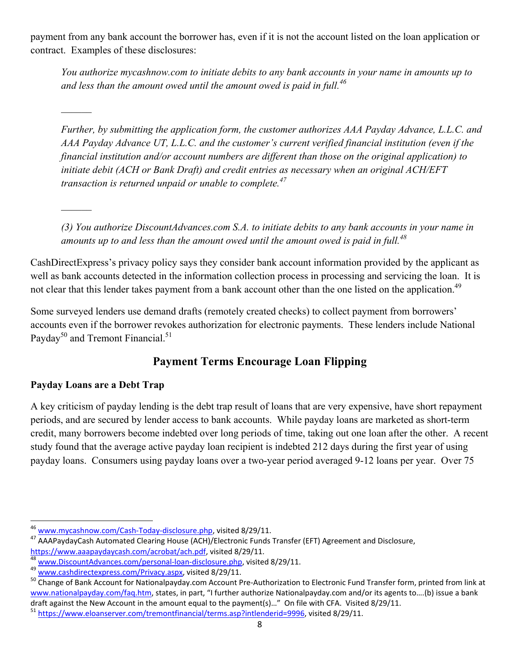payment from any bank account the borrower has, even if it is not the account listed on the loan application or contract. Examples of these disclosures:

*You authorize mycashnow.com to initiate debits to any bank accounts in your name in amounts up to and less than the amount owed until the amount owed is paid in full.<sup>46</sup>*

*Further, by submitting the application form, the customer authorizes AAA Payday Advance, L.L.C. and AAA Payday Advance UT, L.L.C. and the customer's current verified financial institution (even if the financial institution and/or account numbers are different than those on the original application) to initiate debit (ACH or Bank Draft) and credit entries as necessary when an original ACH/EFT transaction is returned unpaid or unable to complete.47*

*(3) You authorize DiscountAdvances.com S.A. to initiate debits to any bank accounts in your name in amounts up to and less than the amount owed until the amount owed is paid in full.*<sup>48</sup>

CashDirectExpress's privacy policy says they consider bank account information provided by the applicant as well as bank accounts detected in the information collection process in processing and servicing the loan. It is not clear that this lender takes payment from a bank account other than the one listed on the application.<sup>49</sup>

Some surveyed lenders use demand drafts (remotely created checks) to collect payment from borrowers' accounts even if the borrower revokes authorization for electronic payments. These lenders include National Payday<sup>50</sup> and Tremont Financial.<sup>51</sup>

## **Payment Terms Encourage Loan Flipping**

### **Payday Loans are a Debt Trap**

 $\mathcal{L}$ 

A key criticism of payday lending is the debt trap result of loans that are very expensive, have short repayment periods, and are secured by lender access to bank accounts. While payday loans are marketed as short-term credit, many borrowers become indebted over long periods of time, taking out one loan after the other. A recent study found that the average active payday loan recipient is indebted 212 days during the first year of using payday loans. Consumers using payday loans over a two-year period averaged 9-12 loans per year. Over 75

 $\overline{\phantom{a}}$ 

<sup>&</sup>lt;sup>46</sup> www.mycashnow.com/Cash-Today-disclosure.php, visited 8/29/11.<br><sup>47</sup> AAAPaydayCash Automated Clearing House (ACH)/Electronic Funds Transfer (EFT) Agreement and Disclosure,

https://www.aaapaydaycash.com/acrobat/ach.pdf, visited 8/29/11.<br>
<sup>48</sup> www.DiscountAdvances.com/personal-loan-disclosure.php, visited 8/29/11.<br>
<sup>49</sup> www.cashdirectexpress.com/Privacy.aspx, visited 8/29/11.<br>
<sup>50</sup> Change of B www.nationalpayday.com/faq.htm, states, in part, "I further authorize Nationalpayday.com and/or its agents to....(b) issue a bank draft against the New Account in the amount equal to the payment(s)..." On file with CFA. Visited 8/29/11.<br><sup>51</sup> https://www.eloanserver.com/tremontfinancial/terms.asp?intlenderid=9996, visited 8/29/11.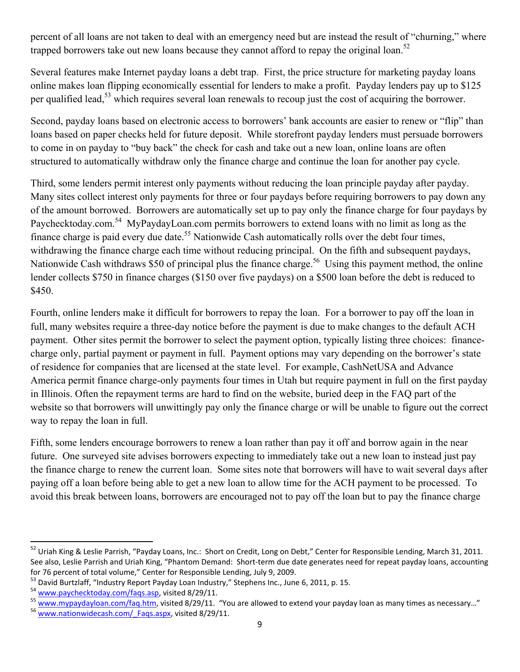percent of all loans are not taken to deal with an emergency need but are instead the result of "churning," where trapped borrowers take out new loans because they cannot afford to repay the original loan.<sup>52</sup>

Several features make Internet payday loans a debt trap. First, the price structure for marketing payday loans online makes loan flipping economically essential for lenders to make a profit. Payday lenders pay up to \$125 per qualified lead,<sup>53</sup> which requires several loan renewals to recoup just the cost of acquiring the borrower.

Second, payday loans based on electronic access to borrowers' bank accounts are easier to renew or "flip" than loans based on paper checks held for future deposit. While storefront payday lenders must persuade borrowers to come in on payday to "buy back" the check for cash and take out a new loan, online loans are often structured to automatically withdraw only the finance charge and continue the loan for another pay cycle.

Third, some lenders permit interest only payments without reducing the loan principle payday after payday. Many sites collect interest only payments for three or four paydays before requiring borrowers to pay down any of the amount borrowed. Borrowers are automatically set up to pay only the finance charge for four paydays by Paychecktoday.com.<sup>54</sup> MyPaydayLoan.com permits borrowers to extend loans with no limit as long as the finance charge is paid every due date.<sup>55</sup> Nationwide Cash automatically rolls over the debt four times, withdrawing the finance charge each time without reducing principal. On the fifth and subsequent paydays, Nationwide Cash withdraws \$50 of principal plus the finance charge.<sup>56</sup> Using this payment method, the online lender collects \$750 in finance charges (\$150 over five paydays) on a \$500 loan before the debt is reduced to \$450.

Fourth, online lenders make it difficult for borrowers to repay the loan. For a borrower to pay off the loan in full, many websites require a three-day notice before the payment is due to make changes to the default ACH payment. Other sites permit the borrower to select the payment option, typically listing three choices: financecharge only, partial payment or payment in full. Payment options may vary depending on the borrower's state of residence for companies that are licensed at the state level. For example, CashNetUSA and Advance America permit finance charge-only payments four times in Utah but require payment in full on the first payday in Illinois. Often the repayment terms are hard to find on the website, buried deep in the FAQ part of the website so that borrowers will unwittingly pay only the finance charge or will be unable to figure out the correct way to repay the loan in full.

Fifth, some lenders encourage borrowers to renew a loan rather than pay it off and borrow again in the near future. One surveyed site advises borrowers expecting to immediately take out a new loan to instead just pay the finance charge to renew the current loan. Some sites note that borrowers will have to wait several days after paying off a loan before being able to get a new loan to allow time for the ACH payment to be processed. To avoid this break between loans, borrowers are encouraged not to pay off the loan but to pay the finance charge

<sup>&</sup>lt;sup>52</sup> Uriah King & Leslie Parrish, "Payday Loans, Inc.: Short on Credit, Long on Debt," Center for Responsible Lending, March 31, 2011. See also, Leslie Parrish and Uriah King, "Phantom Demand: Short‐term due date generates need for repeat payday loans, accounting

for 76 percent of total volume," Center for Responsible Lending, July 9, 2009.<br><sup>53</sup> David Burtzlaff, "Industry Report Payday Loan Industry," Stephens Inc., June 6, 2011, p. 15.<br><sup>54</sup> www.paychecktoday.com/faqs.asp, visited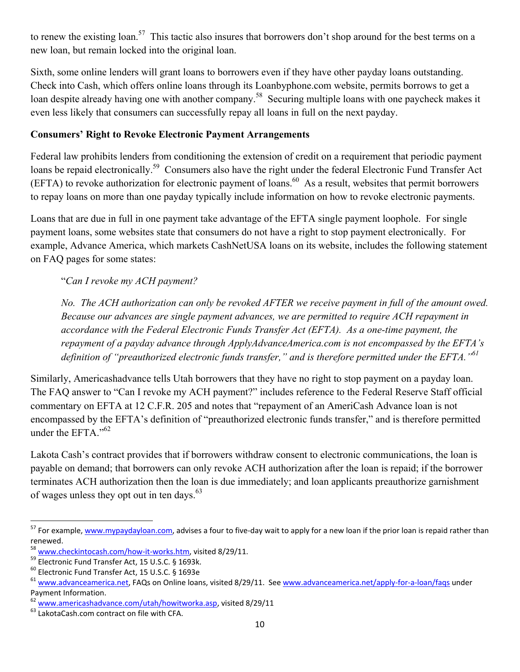to renew the existing loan.<sup>57</sup> This tactic also insures that borrowers don't shop around for the best terms on a new loan, but remain locked into the original loan.

Sixth, some online lenders will grant loans to borrowers even if they have other payday loans outstanding. Check into Cash, which offers online loans through its Loanbyphone.com website, permits borrows to get a loan despite already having one with another company.<sup>58</sup> Securing multiple loans with one paycheck makes it even less likely that consumers can successfully repay all loans in full on the next payday.

### **Consumers' Right to Revoke Electronic Payment Arrangements**

Federal law prohibits lenders from conditioning the extension of credit on a requirement that periodic payment loans be repaid electronically.<sup>59</sup> Consumers also have the right under the federal Electronic Fund Transfer Act  $(EFTA)$  to revoke authorization for electronic payment of loans.<sup>60</sup> As a result, websites that permit borrowers to repay loans on more than one payday typically include information on how to revoke electronic payments.

Loans that are due in full in one payment take advantage of the EFTA single payment loophole. For single payment loans, some websites state that consumers do not have a right to stop payment electronically. For example, Advance America, which markets CashNetUSA loans on its website, includes the following statement on FAQ pages for some states:

"*Can I revoke my ACH payment?* 

*No. The ACH authorization can only be revoked AFTER we receive payment in full of the amount owed. Because our advances are single payment advances, we are permitted to require ACH repayment in accordance with the Federal Electronic Funds Transfer Act (EFTA). As a one-time payment, the repayment of a payday advance through ApplyAdvanceAmerica.com is not encompassed by the EFTA's definition of "preauthorized electronic funds transfer," and is therefore permitted under the EFTA."61*

Similarly, Americashadvance tells Utah borrowers that they have no right to stop payment on a payday loan. The FAQ answer to "Can I revoke my ACH payment?" includes reference to the Federal Reserve Staff official commentary on EFTA at 12 C.F.R. 205 and notes that "repayment of an AmeriCash Advance loan is not encompassed by the EFTA's definition of "preauthorized electronic funds transfer," and is therefore permitted under the EFTA $^{1062}$ 

Lakota Cash's contract provides that if borrowers withdraw consent to electronic communications, the loan is payable on demand; that borrowers can only revoke ACH authorization after the loan is repaid; if the borrower terminates ACH authorization then the loan is due immediately; and loan applicants preauthorize garnishment of wages unless they opt out in ten days.<sup>63</sup>

<sup>&</sup>lt;sup>57</sup> For example, www.mypaydayloan.com, advises a four to five-day wait to apply for a new loan if the prior loan is repaid rather than renewed.

 $58 \text{ www.checkintocash.com/how-it-works.htm, visited 8/29/11.}$ <br> $59 \text{ Electronic Fund Transfer Act, 15 U.S.C. § 1693k.}$ 

<sup>60</sup> Electronic Fund Transfer Act, 15 U.S.C. § 1693e

<sup>&</sup>lt;sup>61</sup> www.advanceamerica.net, FAQs on Online loans, visited 8/29/11. See www.advanceamerica.net/apply-for-a-loan/faqs under Payment Information.

 $^{62}$  www.americashadvance.com/utah/howitworka.asp, visited 8/29/11  $^{63}$  LakotaCash.com contract on file with CFA.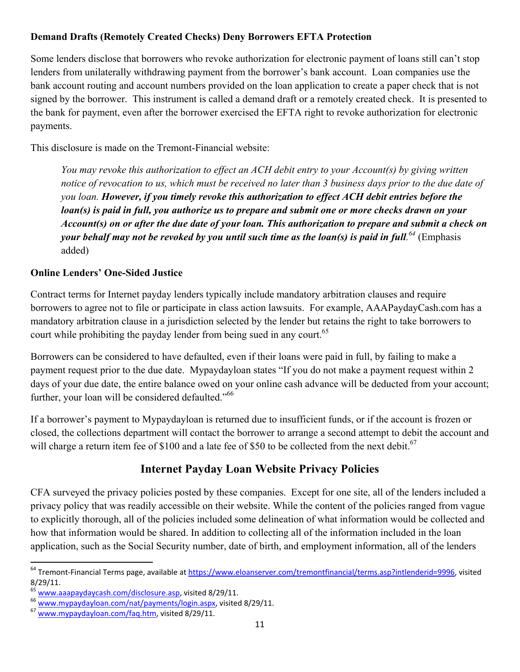### **Demand Drafts (Remotely Created Checks) Deny Borrowers EFTA Protection**

Some lenders disclose that borrowers who revoke authorization for electronic payment of loans still can't stop lenders from unilaterally withdrawing payment from the borrower's bank account. Loan companies use the bank account routing and account numbers provided on the loan application to create a paper check that is not signed by the borrower. This instrument is called a demand draft or a remotely created check. It is presented to the bank for payment, even after the borrower exercised the EFTA right to revoke authorization for electronic payments.

This disclosure is made on the Tremont-Financial website:

*You may revoke this authorization to effect an ACH debit entry to your Account(s) by giving written notice of revocation to us, which must be received no later than 3 business days prior to the due date of you loan. However, if you timely revoke this authorization to effect ACH debit entries before the loan(s) is paid in full, you authorize us to prepare and submit one or more checks drawn on your Account(s) on or after the due date of your loan. This authorization to prepare and submit a check on your behalf may not be revoked by you until such time as the loan(s) is paid in full. <sup>64</sup>* (Emphasis added)

### **Online Lenders' One-Sided Justice**

Contract terms for Internet payday lenders typically include mandatory arbitration clauses and require borrowers to agree not to file or participate in class action lawsuits. For example, AAAPaydayCash.com has a mandatory arbitration clause in a jurisdiction selected by the lender but retains the right to take borrowers to court while prohibiting the payday lender from being sued in any court.<sup>65</sup>

Borrowers can be considered to have defaulted, even if their loans were paid in full, by failing to make a payment request prior to the due date. Mypaydayloan states "If you do not make a payment request within 2 days of your due date, the entire balance owed on your online cash advance will be deducted from your account; further, your loan will be considered defaulted."<sup>66</sup>

If a borrower's payment to Mypaydayloan is returned due to insufficient funds, or if the account is frozen or closed, the collections department will contact the borrower to arrange a second attempt to debit the account and will charge a return item fee of \$100 and a late fee of \$50 to be collected from the next debit.<sup>67</sup>

## **Internet Payday Loan Website Privacy Policies**

CFA surveyed the privacy policies posted by these companies. Except for one site, all of the lenders included a privacy policy that was readily accessible on their website. While the content of the policies ranged from vague to explicitly thorough, all of the policies included some delineation of what information would be collected and how that information would be shared. In addition to collecting all of the information included in the loan application, such as the Social Security number, date of birth, and employment information, all of the lenders

 $\overline{\phantom{a}}$ <sup>64</sup> Tremont-Financial Terms page, available at https://www.eloanserver.com/tremontfinancial/terms.asp?intlenderid=9996, visited 8/29/11.<br><sup>65</sup> www.aaapaydaycash.com/disclosure.asp, visited 8/29/11.

<sup>&</sup>lt;sup>66</sup> www.mypaydayloan.com/nat/payments/login.aspx, visited 8/29/11.<br><sup>67</sup> www.mypaydayloan.com/faq.htm, visited 8/29/11.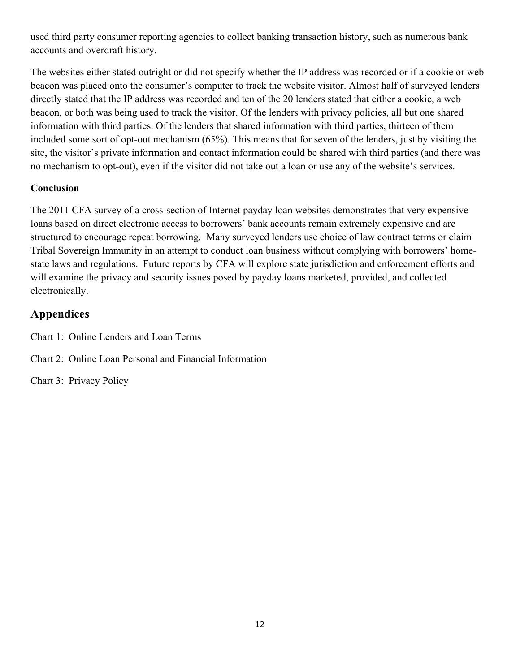used third party consumer reporting agencies to collect banking transaction history, such as numerous bank accounts and overdraft history.

The websites either stated outright or did not specify whether the IP address was recorded or if a cookie or web beacon was placed onto the consumer's computer to track the website visitor. Almost half of surveyed lenders directly stated that the IP address was recorded and ten of the 20 lenders stated that either a cookie, a web beacon, or both was being used to track the visitor. Of the lenders with privacy policies, all but one shared information with third parties. Of the lenders that shared information with third parties, thirteen of them included some sort of opt-out mechanism (65%). This means that for seven of the lenders, just by visiting the site, the visitor's private information and contact information could be shared with third parties (and there was no mechanism to opt-out), even if the visitor did not take out a loan or use any of the website's services.

### **Conclusion**

The 2011 CFA survey of a cross-section of Internet payday loan websites demonstrates that very expensive loans based on direct electronic access to borrowers' bank accounts remain extremely expensive and are structured to encourage repeat borrowing. Many surveyed lenders use choice of law contract terms or claim Tribal Sovereign Immunity in an attempt to conduct loan business without complying with borrowers' homestate laws and regulations. Future reports by CFA will explore state jurisdiction and enforcement efforts and will examine the privacy and security issues posed by payday loans marketed, provided, and collected electronically.

## **Appendices**

Chart 1: Online Lenders and Loan Terms

- Chart 2: Online Loan Personal and Financial Information
- Chart 3: Privacy Policy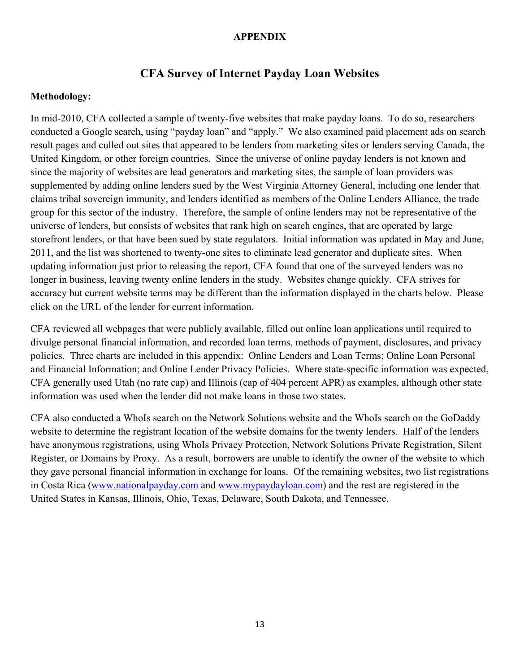#### **APPENDIX**

### **CFA Survey of Internet Payday Loan Websites**

#### **Methodology:**

In mid-2010, CFA collected a sample of twenty-five websites that make payday loans. To do so, researchers conducted a Google search, using "payday loan" and "apply." We also examined paid placement ads on search result pages and culled out sites that appeared to be lenders from marketing sites or lenders serving Canada, the United Kingdom, or other foreign countries. Since the universe of online payday lenders is not known and since the majority of websites are lead generators and marketing sites, the sample of loan providers was supplemented by adding online lenders sued by the West Virginia Attorney General, including one lender that claims tribal sovereign immunity, and lenders identified as members of the Online Lenders Alliance, the trade group for this sector of the industry. Therefore, the sample of online lenders may not be representative of the universe of lenders, but consists of websites that rank high on search engines, that are operated by large storefront lenders, or that have been sued by state regulators. Initial information was updated in May and June, 2011, and the list was shortened to twenty-one sites to eliminate lead generator and duplicate sites. When updating information just prior to releasing the report, CFA found that one of the surveyed lenders was no longer in business, leaving twenty online lenders in the study. Websites change quickly. CFA strives for accuracy but current website terms may be different than the information displayed in the charts below. Please click on the URL of the lender for current information.

CFA reviewed all webpages that were publicly available, filled out online loan applications until required to divulge personal financial information, and recorded loan terms, methods of payment, disclosures, and privacy policies. Three charts are included in this appendix: Online Lenders and Loan Terms; Online Loan Personal and Financial Information; and Online Lender Privacy Policies. Where state-specific information was expected, CFA generally used Utah (no rate cap) and Illinois (cap of 404 percent APR) as examples, although other state information was used when the lender did not make loans in those two states.

CFA also conducted a WhoIs search on the Network Solutions website and the WhoIs search on the GoDaddy website to determine the registrant location of the website domains for the twenty lenders. Half of the lenders have anonymous registrations, using WhoIs Privacy Protection, Network Solutions Private Registration, Silent Register, or Domains by Proxy. As a result, borrowers are unable to identify the owner of the website to which they gave personal financial information in exchange for loans. Of the remaining websites, two list registrations in Costa Rica (www.nationalpayday.com and www.mypaydayloan.com) and the rest are registered in the United States in Kansas, Illinois, Ohio, Texas, Delaware, South Dakota, and Tennessee.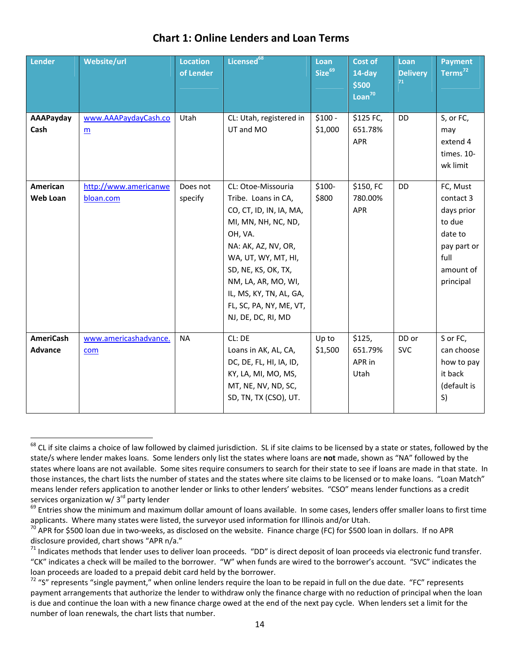| Lender                             | Website/url                             | <b>Location</b><br>of Lender | Licensed <sup>68</sup>                                                                                                                                                                                                                                                         | Loan<br>Size <sup>69</sup> | <b>Cost of</b><br>14-day<br>\$500<br>$Loan^{70}$ | Loan<br><b>Delivery</b><br>71 | <b>Payment</b><br>Terms <sup>72</sup>                                                                     |
|------------------------------------|-----------------------------------------|------------------------------|--------------------------------------------------------------------------------------------------------------------------------------------------------------------------------------------------------------------------------------------------------------------------------|----------------------------|--------------------------------------------------|-------------------------------|-----------------------------------------------------------------------------------------------------------|
| AAAPayday<br>Cash                  | www.AAAPaydayCash.co<br>$\underline{m}$ | Utah                         | CL: Utah, registered in<br>UT and MO                                                                                                                                                                                                                                           | $$100 -$<br>\$1,000        | \$125 FC,<br>651.78%<br>APR                      | DD                            | S, or FC,<br>may<br>extend 4<br>times. 10-<br>wk limit                                                    |
| American<br><b>Web Loan</b>        | http://www.americanwe<br>bloan.com      | Does not<br>specify          | CL: Otoe-Missouria<br>Tribe. Loans in CA,<br>CO, CT, ID, IN, IA, MA,<br>MI, MN, NH, NC, ND,<br>OH, VA.<br>NA: AK, AZ, NV, OR,<br>WA, UT, WY, MT, HI,<br>SD, NE, KS, OK, TX,<br>NM, LA, AR, MO, WI,<br>IL, MS, KY, TN, AL, GA,<br>FL, SC, PA, NY, ME, VT,<br>NJ, DE, DC, RI, MD | \$100-<br>\$800            | \$150, FC<br>780.00%<br><b>APR</b>               | DD                            | FC, Must<br>contact 3<br>days prior<br>to due<br>date to<br>pay part or<br>full<br>amount of<br>principal |
| <b>AmeriCash</b><br><b>Advance</b> | www.americashadvance.<br>com            | <b>NA</b>                    | CL: DE<br>Loans in AK, AL, CA,<br>DC, DE, FL, HI, IA, ID,<br>KY, LA, MI, MO, MS,<br>MT, NE, NV, ND, SC,<br>SD, TN, TX (CSO), UT.                                                                                                                                               | Up to<br>\$1,500           | \$125,<br>651.79%<br>APR in<br>Utah              | DD or<br><b>SVC</b>           | S or FC,<br>can choose<br>how to pay<br>it back<br>(default is<br>S)                                      |

## **Chart 1: Online Lenders and Loan Terms**

 $\overline{\phantom{a}}$ <sup>68</sup> CL if site claims a choice of law followed by claimed jurisdiction. SL if site claims to be licensed by a state or states, followed by the state/s where lender makes loans. Some lenders only list the states where loans are **not** made, shown as "NA" followed by the states where loans are not available. Some sites require consumers to search for their state to see if loans are made in that state. In those instances, the chart lists the number of states and the states where site claims to be licensed or to make loans. "Loan Match" means lender refers application to another lender or links to other lenders' websites. "CSO" means lender functions as a credit services organization w/ 3<sup>rd</sup> party lender

<sup>&</sup>lt;sup>69</sup> Entries show the minimum and maximum dollar amount of loans available. In some cases, lenders offer smaller loans to first time applicants. Where many states were listed, the surveyor used information for Illinois and/or Utah.  $^{70}$  APR for \$500 loan in dollars. If no APR  $^{70}$  APR for \$500 loan in dollars. If no APR

disclosure provided, chart shows "APR n/a."<br><sup>71</sup> Indicates methods that lender uses to deliver loan proceeds. "DD" is direct deposit of loan proceeds via electronic fund transfer.

<sup>&</sup>quot;CK" indicates a check will be mailed to the borrower. "W" when funds are wired to the borrower's account. "SVC" indicates the loan proceeds are loaded to a prepaid debit card held by the borrower.

 $72$  "S" represents "single payment," when online lenders require the loan to be repaid in full on the due date. "FC" represents payment arrangements that authorize the lender to withdraw only the finance charge with no reduction of principal when the loan is due and continue the loan with a new finance charge owed at the end of the next pay cycle. When lenders set a limit for the number of loan renewals, the chart lists that number.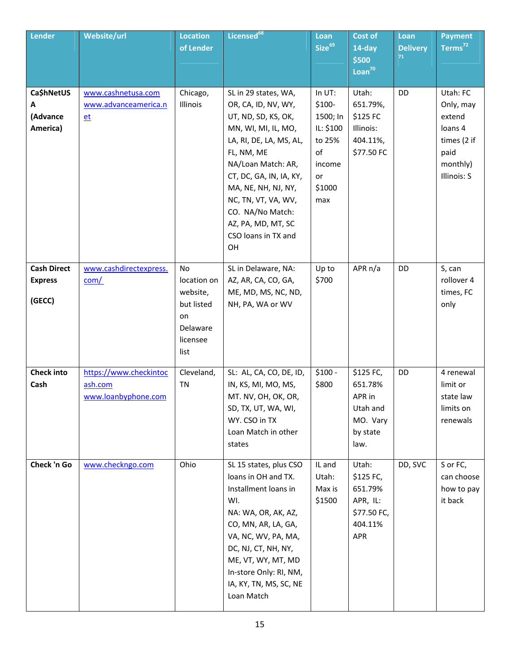| Lender                                         | Website/url                                              | <b>Location</b><br>of Lender                                                      | Licensed <sup>68</sup>                                                                                                                                                                                                                                                                                   | Loan<br>Size <sup>69</sup>                                                                  | Cost of<br>14-day<br>\$500<br>Loan <sup>70</sup>                           | Loan<br><b>Delivery</b><br>71 | <b>Payment</b><br>Terms <sup>72</sup>                                                        |
|------------------------------------------------|----------------------------------------------------------|-----------------------------------------------------------------------------------|----------------------------------------------------------------------------------------------------------------------------------------------------------------------------------------------------------------------------------------------------------------------------------------------------------|---------------------------------------------------------------------------------------------|----------------------------------------------------------------------------|-------------------------------|----------------------------------------------------------------------------------------------|
| Ca\$hNetUS<br>Α<br>(Advance<br>America)        | www.cashnetusa.com<br>www.advanceamerica.n<br>$et$       | Chicago,<br>Illinois                                                              | SL in 29 states, WA,<br>OR, CA, ID, NV, WY,<br>UT, ND, SD, KS, OK,<br>MN, WI, MI, IL, MO,<br>LA, RI, DE, LA, MS, AL,<br>FL, NM, ME<br>NA/Loan Match: AR,<br>CT, DC, GA, IN, IA, KY,<br>MA, NE, NH, NJ, NY,<br>NC, TN, VT, VA, WV,<br>CO. NA/No Match:<br>AZ, PA, MD, MT, SC<br>CSO loans in TX and<br>OH | In UT:<br>$$100-$<br>1500; In<br>IL: \$100<br>to 25%<br>of<br>income<br>or<br>\$1000<br>max | Utah:<br>651.79%,<br>\$125 FC<br>Illinois:<br>404.11%,<br>\$77.50 FC       | DD                            | Utah: FC<br>Only, may<br>extend<br>loans 4<br>times (2 if<br>paid<br>monthly)<br>Illinois: S |
| <b>Cash Direct</b><br><b>Express</b><br>(GECC) | www.cashdirectexpress.<br>com/                           | No<br>location on<br>website,<br>but listed<br>on<br>Delaware<br>licensee<br>list | SL in Delaware, NA:<br>AZ, AR, CA, CO, GA,<br>ME, MD, MS, NC, ND,<br>NH, PA, WA or WV                                                                                                                                                                                                                    | Up to<br>\$700                                                                              | APR $n/a$                                                                  | DD                            | S, can<br>rollover 4<br>times, FC<br>only                                                    |
| <b>Check into</b><br>Cash                      | https://www.checkintoc<br>ash.com<br>www.loanbyphone.com | Cleveland,<br><b>TN</b>                                                           | SL: AL, CA, CO, DE, ID,<br>IN, KS, MI, MO, MS,<br>MT. NV, OH, OK, OR,<br>SD, TX, UT, WA, WI,<br>WY. CSO in TX<br>Loan Match in other<br>states                                                                                                                                                           | $$100 -$<br>\$800                                                                           | \$125 FC,<br>651.78%<br>APR in<br>Utah and<br>MO. Vary<br>by state<br>law. | DD                            | 4 renewal<br>limit or<br>state law<br>limits on<br>renewals                                  |
| Check 'n Go                                    | www.checkngo.com                                         | Ohio                                                                              | SL 15 states, plus CSO<br>loans in OH and TX.<br>Installment loans in<br>WI.<br>NA: WA, OR, AK, AZ,<br>CO, MN, AR, LA, GA,<br>VA, NC, WV, PA, MA,<br>DC, NJ, CT, NH, NY,<br>ME, VT, WY, MT, MD<br>In-store Only: RI, NM,<br>IA, KY, TN, MS, SC, NE<br>Loan Match                                         | IL and<br>Utah:<br>Max is<br>\$1500                                                         | Utah:<br>\$125 FC,<br>651.79%<br>APR, IL:<br>\$77.50 FC,<br>404.11%<br>APR | DD, SVC                       | S or FC,<br>can choose<br>how to pay<br>it back                                              |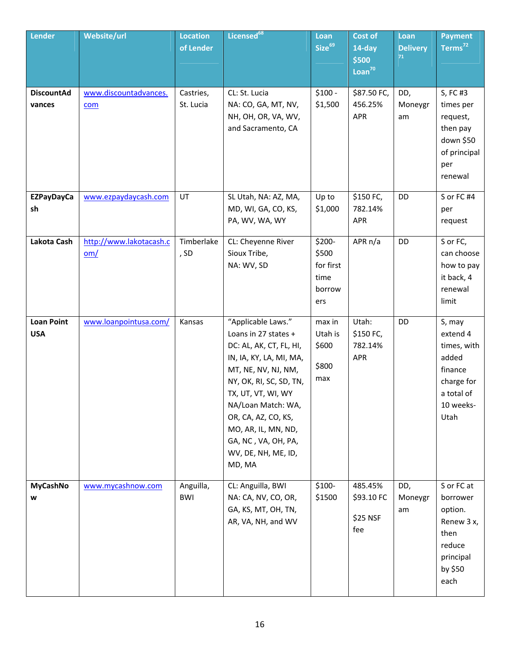| Lender                          | Website/url                    | <b>Location</b><br>of Lender | Licensed <sup>68</sup>                                                                                                                                                                                                                                                                               | Loan<br>Size <sup>69</sup>                            | <b>Cost of</b><br>14-day<br>\$500<br>Loan <sup>70</sup> | Loan<br><b>Delivery</b><br>71 | <b>Payment</b><br>Terms <sup>72</sup>                                                                  |
|---------------------------------|--------------------------------|------------------------------|------------------------------------------------------------------------------------------------------------------------------------------------------------------------------------------------------------------------------------------------------------------------------------------------------|-------------------------------------------------------|---------------------------------------------------------|-------------------------------|--------------------------------------------------------------------------------------------------------|
| <b>DiscountAd</b><br>vances     | www.discountadvances.<br>com   | Castries,<br>St. Lucia       | CL: St. Lucia<br>NA: CO, GA, MT, NV,<br>NH, OH, OR, VA, WV,<br>and Sacramento, CA                                                                                                                                                                                                                    | $$100 -$<br>\$1,500                                   | \$87.50 FC,<br>456.25%<br><b>APR</b>                    | DD,<br>Moneygr<br>am          | S, FC #3<br>times per<br>request,<br>then pay<br>down \$50<br>of principal<br>per<br>renewal           |
| <b>EZPayDayCa</b><br>sh         | www.ezpaydaycash.com           | UT                           | SL Utah, NA: AZ, MA,<br>MD, WI, GA, CO, KS,<br>PA, WV, WA, WY                                                                                                                                                                                                                                        | Up to<br>\$1,000                                      | \$150 FC,<br>782.14%<br>APR                             | DD                            | S or FC #4<br>per<br>request                                                                           |
| Lakota Cash                     | http://www.lakotacash.c<br>om/ | Timberlake<br>, SD           | CL: Cheyenne River<br>Sioux Tribe,<br>NA: WV, SD                                                                                                                                                                                                                                                     | \$200-<br>\$500<br>for first<br>time<br>borrow<br>ers | APR $n/a$                                               | DD                            | S or FC,<br>can choose<br>how to pay<br>it back, 4<br>renewal<br>limit                                 |
| <b>Loan Point</b><br><b>USA</b> | www.loanpointusa.com/          | Kansas                       | "Applicable Laws."<br>Loans in 27 states +<br>DC: AL, AK, CT, FL, HI,<br>IN, IA, KY, LA, MI, MA,<br>MT, NE, NV, NJ, NM,<br>NY, OK, RI, SC, SD, TN,<br>TX, UT, VT, WI, WY<br>NA/Loan Match: WA,<br>OR, CA, AZ, CO, KS,<br>MO, AR, IL, MN, ND,<br>GA, NC, VA, OH, PA,<br>WV, DE, NH, ME, ID,<br>MD, MA | max in<br>Utah is<br>\$600<br>\$800<br>max            | Utah:<br>\$150 FC,<br>782.14%<br>APR                    | DD                            | S, may<br>extend 4<br>times, with<br>added<br>finance<br>charge for<br>a total of<br>10 weeks-<br>Utah |
| MyCashNo<br>w                   | www.mycashnow.com              | Anguilla,<br><b>BWI</b>      | CL: Anguilla, BWI<br>NA: CA, NV, CO, OR,<br>GA, KS, MT, OH, TN,<br>AR, VA, NH, and WV                                                                                                                                                                                                                | $$100-$<br>\$1500                                     | 485.45%<br>\$93.10 FC<br>\$25 NSF<br>fee                | DD,<br>Moneygr<br>am          | S or FC at<br>borrower<br>option.<br>Renew 3 x,<br>then<br>reduce<br>principal<br>by \$50<br>each      |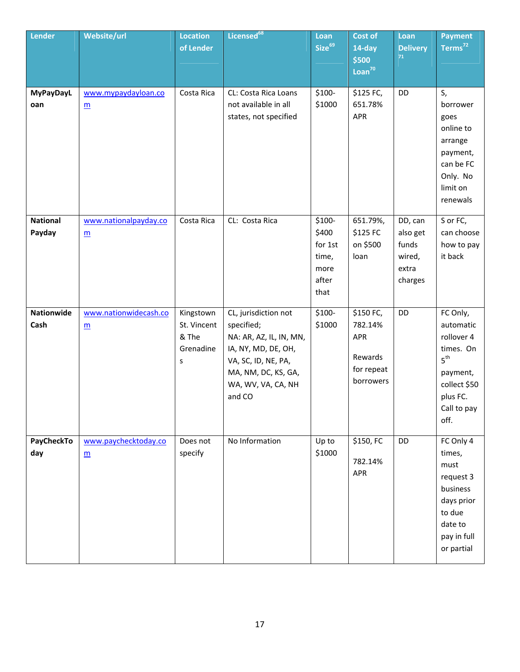| Lender                    | Website/url                              | <b>Location</b><br>of Lender                        | Licensed <sup>68</sup>                                                                                                                                             | Loan<br>Size <sup>69</sup>                                    | Cost of<br>$14$ -day<br>\$500<br>Loan <sup>70</sup>               | Loan<br><b>Delivery</b><br>71                              | <b>Payment</b><br>Terms <sup>72</sup>                                                                                              |
|---------------------------|------------------------------------------|-----------------------------------------------------|--------------------------------------------------------------------------------------------------------------------------------------------------------------------|---------------------------------------------------------------|-------------------------------------------------------------------|------------------------------------------------------------|------------------------------------------------------------------------------------------------------------------------------------|
| <b>MyPayDayL</b><br>oan   | www.mypaydayloan.co<br>$\underline{m}$   | Costa Rica                                          | CL: Costa Rica Loans<br>not available in all<br>states, not specified                                                                                              | \$100-<br>\$1000                                              | \$125 FC,<br>651.78%<br>APR                                       | DD                                                         | S,<br>borrower<br>goes<br>online to<br>arrange<br>payment,<br>can be FC<br>Only. No<br>limit on<br>renewals                        |
| <b>National</b><br>Payday | www.nationalpayday.co<br>$\underline{m}$ | Costa Rica                                          | CL: Costa Rica                                                                                                                                                     | $$100-$<br>\$400<br>for 1st<br>time,<br>more<br>after<br>that | 651.79%,<br>\$125 FC<br>on \$500<br>loan                          | DD, can<br>also get<br>funds<br>wired,<br>extra<br>charges | S or FC,<br>can choose<br>how to pay<br>it back                                                                                    |
| Nationwide<br>Cash        | www.nationwidecash.co<br>$\underline{m}$ | Kingstown<br>St. Vincent<br>& The<br>Grenadine<br>S | CL, jurisdiction not<br>specified;<br>NA: AR, AZ, IL, IN, MN,<br>IA, NY, MD, DE, OH,<br>VA, SC, ID, NE, PA,<br>MA, NM, DC, KS, GA,<br>WA, WV, VA, CA, NH<br>and CO | $$100-$<br>\$1000                                             | \$150 FC,<br>782.14%<br>APR<br>Rewards<br>for repeat<br>borrowers | DD                                                         | FC Only,<br>automatic<br>rollover 4<br>times. On<br>5 <sup>th</sup><br>payment,<br>collect \$50<br>plus FC.<br>Call to pay<br>off. |
| PayCheckTo<br>day         | www.paychecktoday.co<br>$\underline{m}$  | Does not<br>specify                                 | No Information                                                                                                                                                     | Up to<br>\$1000                                               | \$150, FC<br>782.14%<br>APR                                       | DD                                                         | FC Only 4<br>times,<br>must<br>request 3<br>business<br>days prior<br>to due<br>date to<br>pay in full<br>or partial               |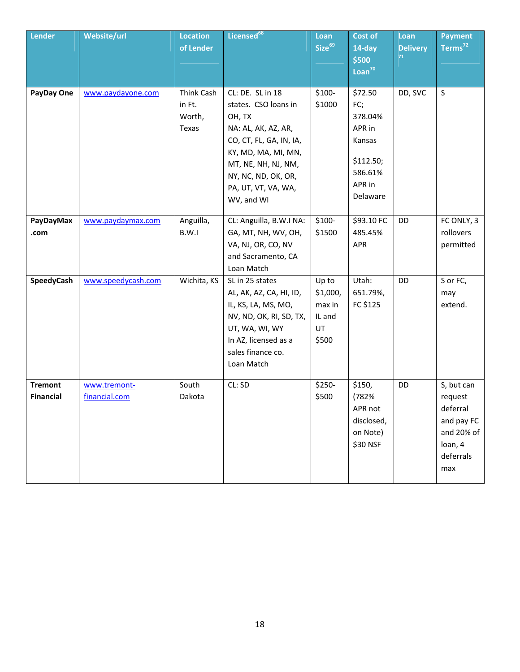| <b>Lender</b>                      | Website/url                   | <b>Location</b><br>of Lender            | Licensed <sup>68</sup>                                                                                                                                                                                         | Loan<br>Size <sup>69</sup>                           | Cost of<br>14-day<br>\$500<br>Loan <sup>70</sup>                                            | Loan<br><b>Delivery</b><br>71 | <b>Payment</b><br>Terms <sup>72</sup>                                                        |
|------------------------------------|-------------------------------|-----------------------------------------|----------------------------------------------------------------------------------------------------------------------------------------------------------------------------------------------------------------|------------------------------------------------------|---------------------------------------------------------------------------------------------|-------------------------------|----------------------------------------------------------------------------------------------|
| PayDay One                         | www.paydayone.com             | Think Cash<br>in Ft.<br>Worth,<br>Texas | CL: DE. SL in 18<br>states. CSO loans in<br>OH, TX<br>NA: AL, AK, AZ, AR,<br>CO, CT, FL, GA, IN, IA,<br>KY, MD, MA, MI, MN,<br>MT, NE, NH, NJ, NM,<br>NY, NC, ND, OK, OR,<br>PA, UT, VT, VA, WA,<br>WV, and WI | $$100-$<br>\$1000                                    | \$72.50<br>FC;<br>378.04%<br>APR in<br>Kansas<br>\$112.50;<br>586.61%<br>APR in<br>Delaware | DD, SVC                       | S                                                                                            |
| PayDayMax<br>.com                  | www.paydaymax.com             | Anguilla,<br>B.W.I                      | CL: Anguilla, B.W.I NA:<br>GA, MT, NH, WV, OH,<br>VA, NJ, OR, CO, NV<br>and Sacramento, CA<br>Loan Match                                                                                                       | $$100-$<br>\$1500                                    | \$93.10 FC<br>485.45%<br>APR                                                                | DD                            | FC ONLY, 3<br>rollovers<br>permitted                                                         |
| SpeedyCash                         | www.speedycash.com            | Wichita, KS                             | SL in 25 states<br>AL, AK, AZ, CA, HI, ID,<br>IL, KS, LA, MS, MO,<br>NV, ND, OK, RI, SD, TX,<br>UT, WA, WI, WY<br>In AZ, licensed as a<br>sales finance co.<br>Loan Match                                      | Up to<br>\$1,000,<br>max in<br>IL and<br>UT<br>\$500 | Utah:<br>651.79%,<br>FC \$125                                                               | DD                            | S or FC,<br>may<br>extend.                                                                   |
| <b>Tremont</b><br><b>Financial</b> | www.tremont-<br>financial.com | South<br>Dakota                         | CL: SD                                                                                                                                                                                                         | \$250-<br>\$500                                      | \$150,<br>(782%<br>APR not<br>disclosed,<br>on Note)<br>\$30 NSF                            | DD                            | S, but can<br>request<br>deferral<br>and pay FC<br>and 20% of<br>loan, 4<br>deferrals<br>max |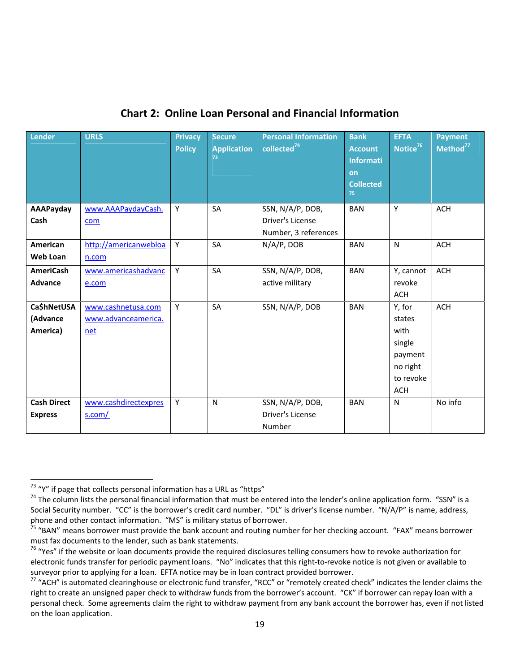| <b>Lender</b>                        | <b>URLS</b>                                      | <b>Privacy</b><br><b>Policy</b> | <b>Secure</b><br><b>Application</b><br>73 | <b>Personal Information</b><br>collected $^{74}$ | <b>Bank</b><br><b>Account</b><br><b>Informati</b><br>on<br><b>Collected</b><br>75 | <b>EFTA</b><br>Notice <sup>76</sup>                                                  | <b>Payment</b><br>Method <sup>77</sup> |
|--------------------------------------|--------------------------------------------------|---------------------------------|-------------------------------------------|--------------------------------------------------|-----------------------------------------------------------------------------------|--------------------------------------------------------------------------------------|----------------------------------------|
| AAAPayday<br>Cash                    | www.AAAPaydayCash.<br>com                        | Y                               | SA                                        | SSN, N/A/P, DOB,<br>Driver's License             | <b>BAN</b>                                                                        | Y                                                                                    | <b>ACH</b>                             |
| American<br>Web Loan                 | http://americanwebloa<br>n.com                   | Y                               | SA                                        | Number, 3 references<br>N/A/P, DOB               | <b>BAN</b>                                                                        | $\mathsf{N}$                                                                         | <b>ACH</b>                             |
| <b>AmeriCash</b><br><b>Advance</b>   | www.americashadvanc<br>e.com                     | Υ                               | SA                                        | SSN, N/A/P, DOB,<br>active military              | <b>BAN</b>                                                                        | Y, cannot<br>revoke<br><b>ACH</b>                                                    | <b>ACH</b>                             |
| Ca\$hNetUSA<br>(Advance<br>America)  | www.cashnetusa.com<br>www.advanceamerica.<br>net | Y                               | SA                                        | SSN, N/A/P, DOB                                  | <b>BAN</b>                                                                        | Y, for<br>states<br>with<br>single<br>payment<br>no right<br>to revoke<br><b>ACH</b> | <b>ACH</b>                             |
| <b>Cash Direct</b><br><b>Express</b> | www.cashdirectexpres<br>s.com/                   | Y                               | $\mathsf{N}$                              | SSN, N/A/P, DOB,<br>Driver's License<br>Number   | <b>BAN</b>                                                                        | N                                                                                    | No info                                |

### **Chart 2: Online Loan Personal and Financial Information**

 $\overline{\phantom{a}}$ 

<sup>&</sup>lt;sup>73</sup> "Y" if page that collects personal information has a URL as "https"<br><sup>74</sup> The column lists the personal financial information that must be entered into the lender's online application form. "SSN" is a Social Security number. "CC" is the borrower's credit card number. "DL" is driver's license number. "N/A/P" is name, address,

phone and other contact information. "MS" is military status of borrower.<br><sup>75</sup> "BAN" means borrower must provide the bank account and routing number for her checking account. "FAX" means borrower must fax documents to the lender, such as bank statements.

<sup>&</sup>lt;sup>76</sup> "Yes" if the website or loan documents provide the required disclosures telling consumers how to revoke authorization for electronic funds transfer for periodic payment loans. "No" indicates that this right‐to‐revoke notice is not given or available to

surveyor prior to applying for a loan. EFTA notice may be in loan contract provided borrower.<br><sup>77</sup> "ACH" is automated clearinghouse or electronic fund transfer, "RCC" or "remotely created check" indicates the lender claims right to create an unsigned paper check to withdraw funds from the borrower's account. "CK" if borrower can repay loan with a personal check. Some agreements claim the right to withdraw payment from any bank account the borrower has, even if not listed on the loan application.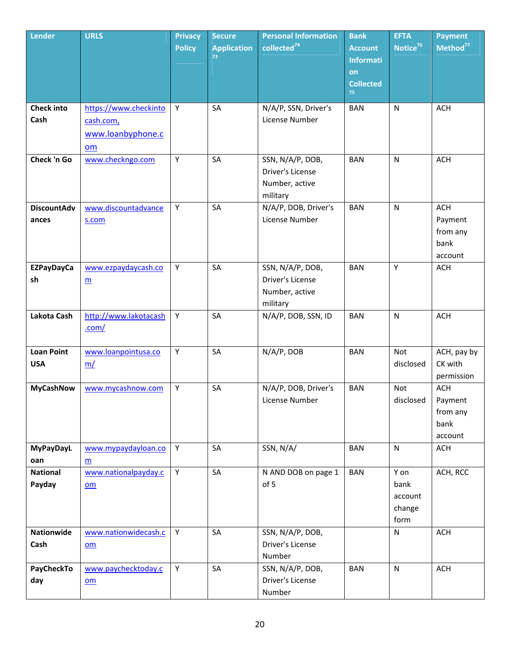| <b>Lender</b>                   | <b>URLS</b>                                                   | <b>Privacy</b><br><b>Policy</b> | <b>Secure</b><br><b>Application</b><br>73 <sup>°</sup> | <b>Personal Information</b><br>collected <sup>74</sup>             | <b>Bank</b><br><b>Account</b>                    | <b>EFTA</b><br>Notice <sup>76</sup>       | <b>Payment</b><br>Method <sup>77</sup>               |
|---------------------------------|---------------------------------------------------------------|---------------------------------|--------------------------------------------------------|--------------------------------------------------------------------|--------------------------------------------------|-------------------------------------------|------------------------------------------------------|
|                                 |                                                               |                                 |                                                        |                                                                    | <b>Informati</b><br>on<br><b>Collected</b><br>75 |                                           |                                                      |
| <b>Check into</b><br>Cash       | https://www.checkinto<br>cash.com,<br>www.loanbyphone.c<br>om | Y                               | SA                                                     | N/A/P, SSN, Driver's<br>License Number                             | <b>BAN</b>                                       | $\mathsf{N}$                              | <b>ACH</b>                                           |
| Check 'n Go                     | www.checkngo.com                                              | Υ                               | SA                                                     | SSN, N/A/P, DOB,<br>Driver's License<br>Number, active<br>military | <b>BAN</b>                                       | N                                         | <b>ACH</b>                                           |
| <b>DiscountAdv</b><br>ances     | www.discountadvance<br>s.com                                  | Y                               | SA                                                     | N/A/P, DOB, Driver's<br>License Number                             | <b>BAN</b>                                       | N                                         | <b>ACH</b><br>Payment<br>from any<br>bank<br>account |
| <b>EZPayDayCa</b><br>sh         | www.ezpaydaycash.co<br>$\underline{\mathsf{m}}$               | Y                               | SA                                                     | SSN, N/A/P, DOB,<br>Driver's License<br>Number, active<br>military | <b>BAN</b>                                       | Y                                         | <b>ACH</b>                                           |
| Lakota Cash                     | http://www.lakotacash<br>.com/                                | Y.                              | SA                                                     | N/A/P, DOB, SSN, ID                                                | <b>BAN</b>                                       | ${\sf N}$                                 | <b>ACH</b>                                           |
| <b>Loan Point</b><br><b>USA</b> | www.loanpointusa.co<br>m/                                     | Y                               | SA                                                     | N/A/P, DOB                                                         | <b>BAN</b>                                       | Not<br>disclosed                          | ACH, pay by<br>CK with<br>permission                 |
| <b>MyCashNow</b>                | www.mycashnow.com                                             | Υ                               | SA                                                     | N/A/P, DOB, Driver's<br>License Number                             | <b>BAN</b>                                       | Not<br>disclosed                          | <b>ACH</b><br>Payment<br>from any<br>bank<br>account |
| <b>MyPayDayL</b><br>oan         | www.mypaydayloan.co<br>m                                      | Y                               | SA                                                     | SSN, N/A/                                                          | <b>BAN</b>                                       | $\mathsf{N}$                              | <b>ACH</b>                                           |
| <b>National</b><br>Payday       | www.nationalpayday.c<br>om                                    | Y                               | SA                                                     | N AND DOB on page 1<br>of 5                                        | <b>BAN</b>                                       | Y on<br>bank<br>account<br>change<br>form | ACH, RCC                                             |
| <b>Nationwide</b><br>Cash       | www.nationwidecash.c<br>om                                    | Y.                              | SA                                                     | SSN, N/A/P, DOB,<br>Driver's License<br>Number                     |                                                  | ${\sf N}$                                 | <b>ACH</b>                                           |
| PayCheckTo<br>day               | www.paychecktoday.c<br>om                                     | Y                               | SA                                                     | SSN, N/A/P, DOB,<br>Driver's License<br>Number                     | <b>BAN</b>                                       | $\mathsf{N}$                              | <b>ACH</b>                                           |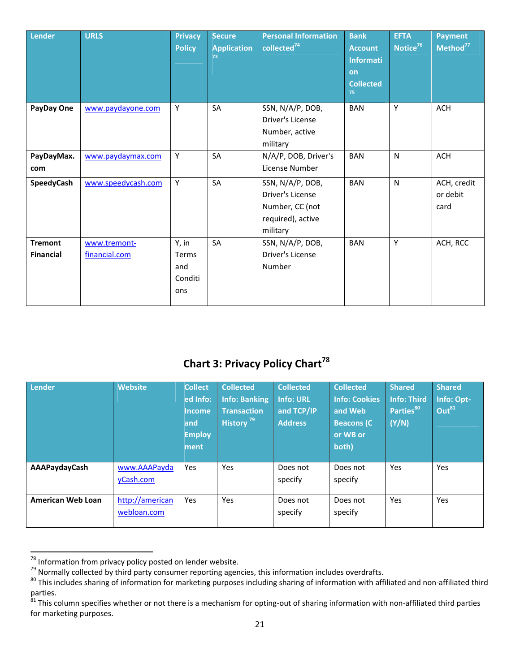| Lender                             | <b>URLS</b>                   | <b>Privacy</b><br><b>Policy</b>         | <b>Secure</b><br><b>Application</b><br>73 | <b>Personal Information</b><br>collected <sup>74</sup>                                   | <b>Bank</b><br><b>Account</b><br><b>Informati</b><br>on<br><b>Collected</b><br>75 | <b>EFTA</b><br>Notice <sup>76</sup> | <b>Payment</b><br>Method <sup>77</sup> |
|------------------------------------|-------------------------------|-----------------------------------------|-------------------------------------------|------------------------------------------------------------------------------------------|-----------------------------------------------------------------------------------|-------------------------------------|----------------------------------------|
| PayDay One                         | www.paydayone.com             | Y                                       | SA                                        | SSN, N/A/P, DOB,<br>Driver's License<br>Number, active<br>military                       | <b>BAN</b>                                                                        | Υ                                   | ACH                                    |
| PayDayMax.<br>com                  | www.paydaymax.com             | Y                                       | SA                                        | N/A/P, DOB, Driver's<br>License Number                                                   | <b>BAN</b>                                                                        | $\mathsf{N}$                        | <b>ACH</b>                             |
| SpeedyCash                         | www.speedycash.com            | Y                                       | SA                                        | SSN, N/A/P, DOB,<br>Driver's License<br>Number, CC (not<br>required), active<br>military | <b>BAN</b>                                                                        | N                                   | ACH, credit<br>or debit<br>card        |
| <b>Tremont</b><br><b>Financial</b> | www.tremont-<br>financial.com | Y, in<br>Terms<br>and<br>Conditi<br>ons | SA                                        | SSN, N/A/P, DOB,<br>Driver's License<br>Number                                           | <b>BAN</b>                                                                        | Υ                                   | ACH, RCC                               |

# **Chart 3: Privacy Policy Chart<sup>78</sup>**

| Lender            | <b>Website</b>                 | <b>Collect</b><br>ed Info:<br><b>Income</b><br>and<br><b>Employ</b><br>ment | <b>Collected</b><br><b>Info: Banking</b><br><b>Transaction</b><br>History <sup>79</sup> | <b>Collected</b><br><b>Info: URL</b><br>and TCP/IP<br><b>Address</b> | <b>Collected</b><br><b>Info: Cookies</b><br>and Web<br><b>Beacons (C)</b><br>or WB or<br>both) | <b>Shared</b><br><b>Info: Third</b><br>Parties <sup>80</sup><br>(Y/N) | <b>Shared</b><br>Info: Opt-<br>Out <sup>81</sup> |
|-------------------|--------------------------------|-----------------------------------------------------------------------------|-----------------------------------------------------------------------------------------|----------------------------------------------------------------------|------------------------------------------------------------------------------------------------|-----------------------------------------------------------------------|--------------------------------------------------|
| AAAPaydayCash     | www.AAAPayda<br>yCash.com      | Yes                                                                         | Yes                                                                                     | Does not<br>specify                                                  | Does not<br>specify                                                                            | <b>Yes</b>                                                            | <b>Yes</b>                                       |
| American Web Loan | http://american<br>webloan.com | Yes                                                                         | Yes                                                                                     | Does not<br>specify                                                  | Does not<br>specify                                                                            | Yes                                                                   | Yes                                              |

 $78$  Information from privacy policy posted on lender website.

<sup>80</sup> This includes sharing of information for marketing purposes including sharing of information with affiliated and non-affiliated third parties.

 $\frac{81}{10}$  This column specifies whether or not there is a mechanism for opting-out of sharing information with non-affiliated third parties for marketing purposes.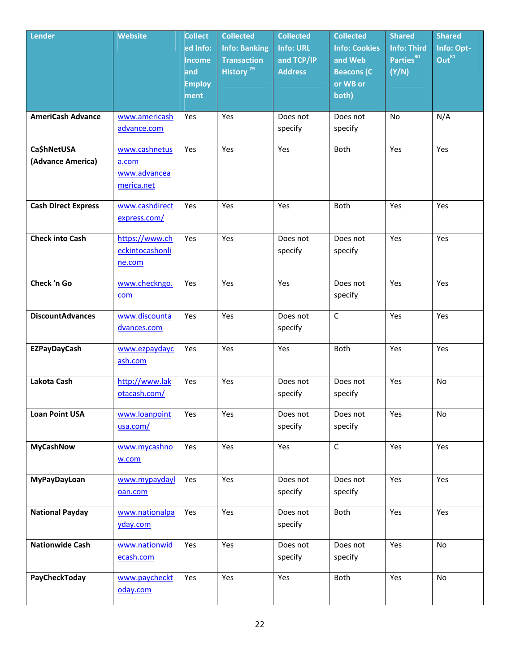| Lender                           | <b>Website</b>                                       | <b>Collect</b><br>ed Info:<br><b>Income</b><br>and<br><b>Employ</b><br>ment | <b>Collected</b><br><b>Info: Banking</b><br><b>Transaction</b><br>History <sup>79</sup> | <b>Collected</b><br><b>Info: URL</b><br>and TCP/IP<br><b>Address</b> | <b>Collected</b><br><b>Info: Cookies</b><br>and Web<br><b>Beacons (C)</b><br>or WB or<br>both) | <b>Shared</b><br><b>Info: Third</b><br>Parties <sup>80</sup><br>(Y/N) | <b>Shared</b><br>Info: Opt-<br>Out <sup>81</sup> |
|----------------------------------|------------------------------------------------------|-----------------------------------------------------------------------------|-----------------------------------------------------------------------------------------|----------------------------------------------------------------------|------------------------------------------------------------------------------------------------|-----------------------------------------------------------------------|--------------------------------------------------|
| <b>AmeriCash Advance</b>         | www.americash<br>advance.com                         | Yes                                                                         | Yes                                                                                     | Does not<br>specify                                                  | Does not<br>specify                                                                            | No                                                                    | N/A                                              |
| Ca\$hNetUSA<br>(Advance America) | www.cashnetus<br>a.com<br>www.advancea<br>merica.net | Yes                                                                         | Yes                                                                                     | Yes                                                                  | <b>Both</b>                                                                                    | Yes                                                                   | Yes                                              |
| <b>Cash Direct Express</b>       | www.cashdirect<br>express.com/                       | Yes                                                                         | Yes                                                                                     | Yes                                                                  | <b>Both</b>                                                                                    | Yes                                                                   | Yes                                              |
| <b>Check into Cash</b>           | https://www.ch<br>eckintocashonli<br>ne.com          | Yes                                                                         | Yes                                                                                     | Does not<br>specify                                                  | Does not<br>specify                                                                            | Yes                                                                   | Yes                                              |
| Check 'n Go                      | www.checkngo.<br>com                                 | Yes                                                                         | Yes                                                                                     | Yes                                                                  | Does not<br>specify                                                                            | Yes                                                                   | Yes                                              |
| <b>DiscountAdvances</b>          | www.discounta<br>dvances.com                         | Yes                                                                         | Yes                                                                                     | Does not<br>specify                                                  | $\mathsf{C}$                                                                                   | Yes                                                                   | Yes                                              |
| <b>EZPayDayCash</b>              | www.ezpaydayc<br>ash.com                             | Yes                                                                         | Yes                                                                                     | Yes                                                                  | <b>Both</b>                                                                                    | Yes                                                                   | Yes                                              |
| Lakota Cash                      | http://www.lak<br>otacash.com/                       | Yes                                                                         | Yes                                                                                     | Does not<br>specify                                                  | Does not<br>specify                                                                            | Yes                                                                   | <b>No</b>                                        |
| <b>Loan Point USA</b>            | www.loanpoint<br>usa.com/                            | Yes                                                                         | Yes                                                                                     | Does not<br>specify                                                  | Does not<br>specify                                                                            | Yes                                                                   | No                                               |
| <b>MyCashNow</b>                 | www.mycashno<br>w.com                                | Yes                                                                         | Yes                                                                                     | Yes                                                                  | $\mathsf C$                                                                                    | Yes                                                                   | Yes                                              |
| MyPayDayLoan                     | www.mypaydayl<br>oan.com                             | Yes                                                                         | Yes                                                                                     | Does not<br>specify                                                  | Does not<br>specify                                                                            | Yes                                                                   | Yes                                              |
| <b>National Payday</b>           | www.nationalpa<br>yday.com                           | Yes                                                                         | Yes                                                                                     | Does not<br>specify                                                  | Both                                                                                           | Yes                                                                   | Yes                                              |
| <b>Nationwide Cash</b>           | www.nationwid<br>ecash.com                           | Yes                                                                         | Yes                                                                                     | Does not<br>specify                                                  | Does not<br>specify                                                                            | Yes                                                                   | No                                               |
| PayCheckToday                    | www.paycheckt<br>oday.com                            | Yes                                                                         | Yes                                                                                     | Yes                                                                  | Both                                                                                           | Yes                                                                   | No                                               |